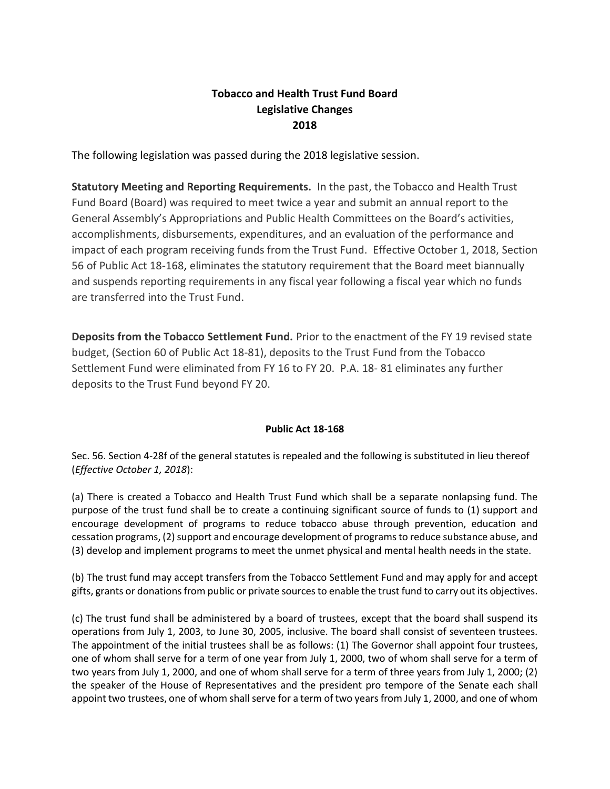## **Tobacco and Health Trust Fund Board Legislative Changes 2018**

The following legislation was passed during the 2018 legislative session.

**Statutory Meeting and Reporting Requirements.** In the past, the Tobacco and Health Trust Fund Board (Board) was required to meet twice a year and submit an annual report to the General Assembly's Appropriations and Public Health Committees on the Board's activities, accomplishments, disbursements, expenditures, and an evaluation of the performance and impact of each program receiving funds from the Trust Fund. Effective October 1, 2018, Section 56 of Public Act 18-168, eliminates the statutory requirement that the Board meet biannually and suspends reporting requirements in any fiscal year following a fiscal year which no funds are transferred into the Trust Fund.

**Deposits from the Tobacco Settlement Fund.** Prior to the enactment of the FY 19 revised state budget, (Section 60 of Public Act 18-81), deposits to the Trust Fund from the Tobacco Settlement Fund were eliminated from FY 16 to FY 20. P.A. 18- 81 eliminates any further deposits to the Trust Fund beyond FY 20.

## **Public Act 18-168**

Sec. 56. Section 4-28f of the general statutes is repealed and the following is substituted in lieu thereof (*Effective October 1, 2018*):

(a) There is created a Tobacco and Health Trust Fund which shall be a separate nonlapsing fund. The purpose of the trust fund shall be to create a continuing significant source of funds to (1) support and encourage development of programs to reduce tobacco abuse through prevention, education and cessation programs, (2) support and encourage development of programs to reduce substance abuse, and (3) develop and implement programs to meet the unmet physical and mental health needs in the state.

(b) The trust fund may accept transfers from the Tobacco Settlement Fund and may apply for and accept gifts, grants or donations from public or private sources to enable the trust fund to carry out its objectives.

(c) The trust fund shall be administered by a board of trustees, except that the board shall suspend its operations from July 1, 2003, to June 30, 2005, inclusive. The board shall consist of seventeen trustees. The appointment of the initial trustees shall be as follows: (1) The Governor shall appoint four trustees, one of whom shall serve for a term of one year from July 1, 2000, two of whom shall serve for a term of two years from July 1, 2000, and one of whom shall serve for a term of three years from July 1, 2000; (2) the speaker of the House of Representatives and the president pro tempore of the Senate each shall appoint two trustees, one of whom shall serve for a term of two years from July 1, 2000, and one of whom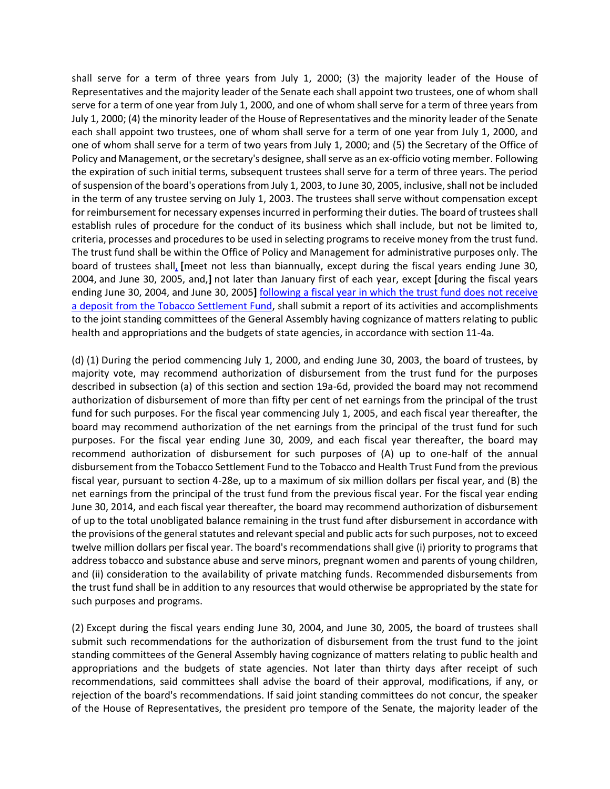shall serve for a term of three years from July 1, 2000; (3) the majority leader of the House of Representatives and the majority leader of the Senate each shall appoint two trustees, one of whom shall serve for a term of one year from July 1, 2000, and one of whom shall serve for a term of three years from July 1, 2000; (4) the minority leader of the House of Representatives and the minority leader of the Senate each shall appoint two trustees, one of whom shall serve for a term of one year from July 1, 2000, and one of whom shall serve for a term of two years from July 1, 2000; and (5) the Secretary of the Office of Policy and Management, or the secretary's designee, shall serve as an ex-officio voting member. Following the expiration of such initial terms, subsequent trustees shall serve for a term of three years. The period of suspension of the board's operations from July 1, 2003, to June 30, 2005, inclusive, shall not be included in the term of any trustee serving on July 1, 2003. The trustees shall serve without compensation except for reimbursement for necessary expenses incurred in performing their duties. The board of trustees shall establish rules of procedure for the conduct of its business which shall include, but not be limited to, criteria, processes and procedures to be used in selecting programs to receive money from the trust fund. The trust fund shall be within the Office of Policy and Management for administrative purposes only. The board of trustees shall, **[**meet not less than biannually, except during the fiscal years ending June 30, 2004, and June 30, 2005, and,**]** not later than January first of each year, except **[**during the fiscal years ending June 30, 2004, and June 30, 2005**]** following a fiscal year in which the trust fund does not receive a deposit from the Tobacco Settlement Fund, shall submit a report of its activities and accomplishments to the joint standing committees of the General Assembly having cognizance of matters relating to public health and appropriations and the budgets of state agencies, in accordance with section 11-4a.

(d) (1) During the period commencing July 1, 2000, and ending June 30, 2003, the board of trustees, by majority vote, may recommend authorization of disbursement from the trust fund for the purposes described in subsection (a) of this section and section 19a-6d, provided the board may not recommend authorization of disbursement of more than fifty per cent of net earnings from the principal of the trust fund for such purposes. For the fiscal year commencing July 1, 2005, and each fiscal year thereafter, the board may recommend authorization of the net earnings from the principal of the trust fund for such purposes. For the fiscal year ending June 30, 2009, and each fiscal year thereafter, the board may recommend authorization of disbursement for such purposes of (A) up to one-half of the annual disbursement from the Tobacco Settlement Fund to the Tobacco and Health Trust Fund from the previous fiscal year, pursuant to section 4-28e, up to a maximum of six million dollars per fiscal year, and (B) the net earnings from the principal of the trust fund from the previous fiscal year. For the fiscal year ending June 30, 2014, and each fiscal year thereafter, the board may recommend authorization of disbursement of up to the total unobligated balance remaining in the trust fund after disbursement in accordance with the provisions of the general statutes and relevant special and public acts for such purposes, not to exceed twelve million dollars per fiscal year. The board's recommendations shall give (i) priority to programs that address tobacco and substance abuse and serve minors, pregnant women and parents of young children, and (ii) consideration to the availability of private matching funds. Recommended disbursements from the trust fund shall be in addition to any resources that would otherwise be appropriated by the state for such purposes and programs.

(2) Except during the fiscal years ending June 30, 2004, and June 30, 2005, the board of trustees shall submit such recommendations for the authorization of disbursement from the trust fund to the joint standing committees of the General Assembly having cognizance of matters relating to public health and appropriations and the budgets of state agencies. Not later than thirty days after receipt of such recommendations, said committees shall advise the board of their approval, modifications, if any, or rejection of the board's recommendations. If said joint standing committees do not concur, the speaker of the House of Representatives, the president pro tempore of the Senate, the majority leader of the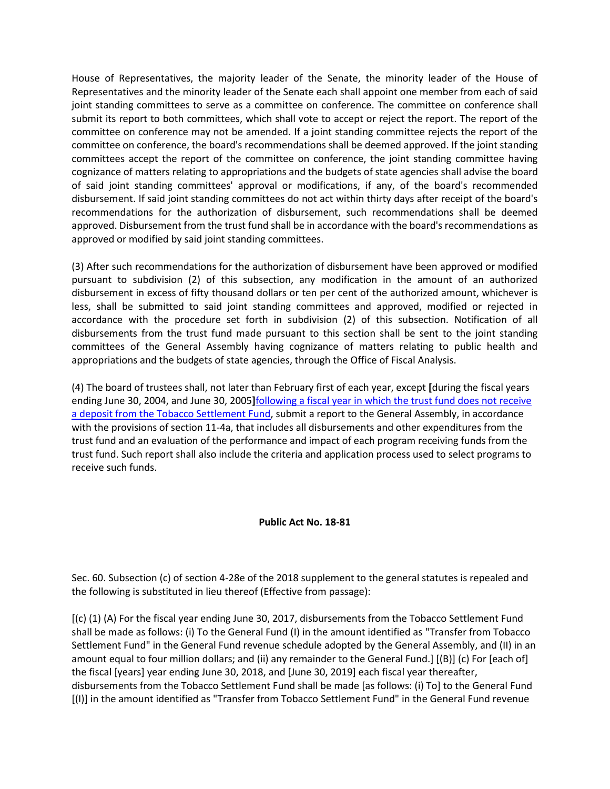House of Representatives, the majority leader of the Senate, the minority leader of the House of Representatives and the minority leader of the Senate each shall appoint one member from each of said joint standing committees to serve as a committee on conference. The committee on conference shall submit its report to both committees, which shall vote to accept or reject the report. The report of the committee on conference may not be amended. If a joint standing committee rejects the report of the committee on conference, the board's recommendations shall be deemed approved. If the joint standing committees accept the report of the committee on conference, the joint standing committee having cognizance of matters relating to appropriations and the budgets of state agencies shall advise the board of said joint standing committees' approval or modifications, if any, of the board's recommended disbursement. If said joint standing committees do not act within thirty days after receipt of the board's recommendations for the authorization of disbursement, such recommendations shall be deemed approved. Disbursement from the trust fund shall be in accordance with the board's recommendations as approved or modified by said joint standing committees.

(3) After such recommendations for the authorization of disbursement have been approved or modified pursuant to subdivision (2) of this subsection, any modification in the amount of an authorized disbursement in excess of fifty thousand dollars or ten per cent of the authorized amount, whichever is less, shall be submitted to said joint standing committees and approved, modified or rejected in accordance with the procedure set forth in subdivision (2) of this subsection. Notification of all disbursements from the trust fund made pursuant to this section shall be sent to the joint standing committees of the General Assembly having cognizance of matters relating to public health and appropriations and the budgets of state agencies, through the Office of Fiscal Analysis.

(4) The board of trustees shall, not later than February first of each year, except **[**during the fiscal years ending June 30, 2004, and June 30, 2005**]**following a fiscal year in which the trust fund does not receive a deposit from the Tobacco Settlement Fund, submit a report to the General Assembly, in accordance with the provisions of section 11-4a, that includes all disbursements and other expenditures from the trust fund and an evaluation of the performance and impact of each program receiving funds from the trust fund. Such report shall also include the criteria and application process used to select programs to receive such funds.

## **Public Act No. 18-81**

Sec. 60. Subsection (c) of section 4-28e of the 2018 supplement to the general statutes is repealed and the following is substituted in lieu thereof (Effective from passage):

[(c) (1) (A) For the fiscal year ending June 30, 2017, disbursements from the Tobacco Settlement Fund shall be made as follows: (i) To the General Fund (I) in the amount identified as "Transfer from Tobacco Settlement Fund" in the General Fund revenue schedule adopted by the General Assembly, and (II) in an amount equal to four million dollars; and (ii) any remainder to the General Fund.] [(B)] (c) For [each of] the fiscal [years] year ending June 30, 2018, and [June 30, 2019] each fiscal year thereafter, disbursements from the Tobacco Settlement Fund shall be made [as follows: (i) To] to the General Fund [(I)] in the amount identified as "Transfer from Tobacco Settlement Fund" in the General Fund revenue